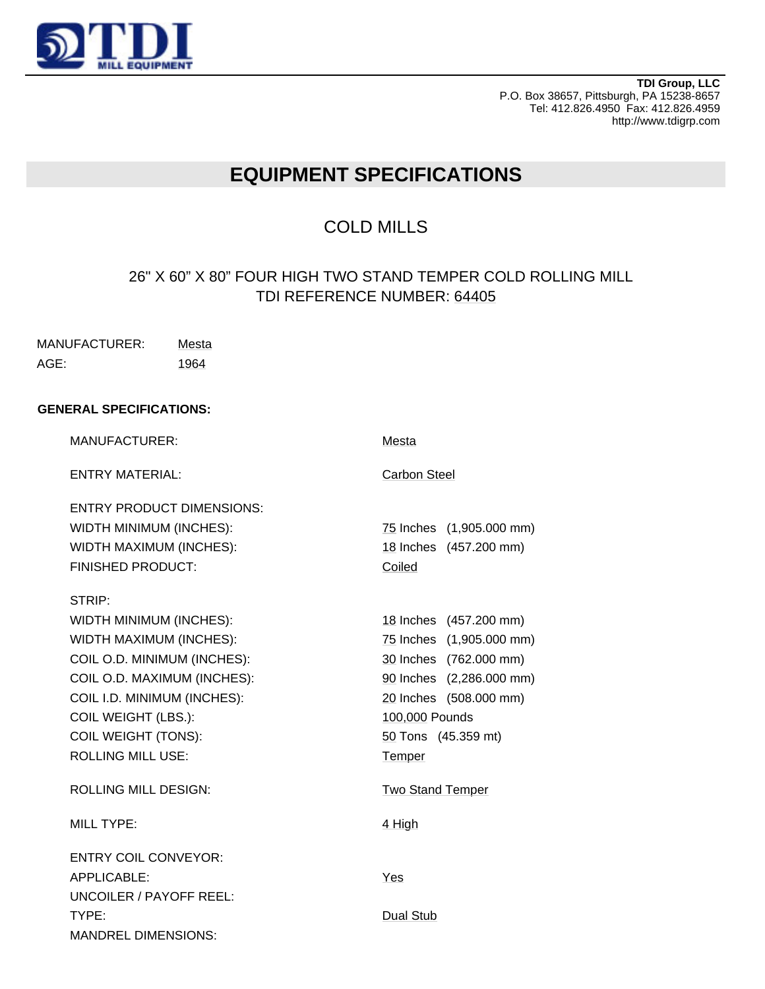

**TDI Group, LLC** P.O. Box 38657, Pittsburgh, PA 15238-8657 Tel: 412.826.4950 Fax: 412.826.4959 http://www.tdigrp.com

## **EQUIPMENT SPECIFICATIONS**

## COLD MILLS

## 26" X 60" X 80" FOUR HIGH TWO STAND TEMPER COLD ROLLING MILL TDI REFERENCE NUMBER: 64405

| MANUFACTURER: | Mesta |
|---------------|-------|
| AGE:          | 1964  |

## **GENERAL SPECIFICATIONS:**

| <b>MANUFACTURER:</b>                                                                                                                                                                                                                              | Mesta                                                                                                                                                                                 |
|---------------------------------------------------------------------------------------------------------------------------------------------------------------------------------------------------------------------------------------------------|---------------------------------------------------------------------------------------------------------------------------------------------------------------------------------------|
| <b>ENTRY MATERIAL:</b>                                                                                                                                                                                                                            | Carbon Steel                                                                                                                                                                          |
| <b>ENTRY PRODUCT DIMENSIONS:</b><br>WIDTH MINIMUM (INCHES):<br>WIDTH MAXIMUM (INCHES):<br><b>FINISHED PRODUCT:</b>                                                                                                                                | 75 Inches (1,905.000 mm)<br>18 Inches (457.200 mm)<br>Coiled                                                                                                                          |
| STRIP:<br>WIDTH MINIMUM (INCHES):<br>WIDTH MAXIMUM (INCHES):<br>COIL O.D. MINIMUM (INCHES):<br>COIL O.D. MAXIMUM (INCHES):<br>COIL I.D. MINIMUM (INCHES):<br><b>COIL WEIGHT (LBS.):</b><br><b>COIL WEIGHT (TONS):</b><br><b>ROLLING MILL USE:</b> | 18 Inches (457.200 mm)<br>75 Inches (1,905.000 mm)<br>30 Inches (762.000 mm)<br>90 Inches (2,286.000 mm)<br>20 Inches (508.000 mm)<br>100,000 Pounds<br>50 Tons (45.359 mt)<br>Temper |
| <b>ROLLING MILL DESIGN:</b>                                                                                                                                                                                                                       | <b>Two Stand Temper</b>                                                                                                                                                               |
| <b>MILL TYPE:</b>                                                                                                                                                                                                                                 | 4 High                                                                                                                                                                                |
| <b>ENTRY COIL CONVEYOR:</b><br>APPLICABLE:<br><b>UNCOILER / PAYOFF REEL:</b>                                                                                                                                                                      | Yes                                                                                                                                                                                   |
| TYPE:<br><b>MANDREL DIMENSIONS:</b>                                                                                                                                                                                                               | Dual Stub                                                                                                                                                                             |